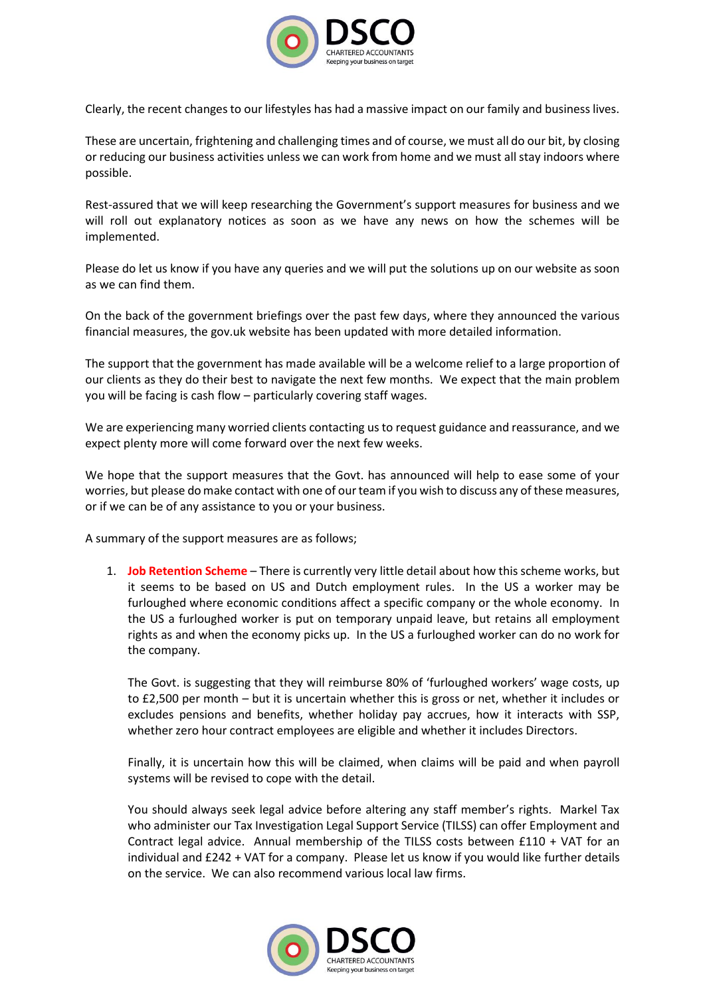

Clearly, the recent changes to our lifestyles has had a massive impact on our family and business lives.

These are uncertain, frightening and challenging times and of course, we must all do our bit, by closing or reducing our business activities unless we can work from home and we must all stay indoors where possible.

Rest-assured that we will keep researching the Government's support measures for business and we will roll out explanatory notices as soon as we have any news on how the schemes will be implemented.

Please do let us know if you have any queries and we will put the solutions up on our website as soon as we can find them.

On the back of the government briefings over the past few days, where they announced the various financial measures, the gov.uk website has been updated with more detailed information.

The support that the government has made available will be a welcome relief to a large proportion of our clients as they do their best to navigate the next few months. We expect that the main problem you will be facing is cash flow – particularly covering staff wages.

We are experiencing many worried clients contacting us to request guidance and reassurance, and we expect plenty more will come forward over the next few weeks.

We hope that the support measures that the Govt. has announced will help to ease some of your worries, but please do make contact with one of our team if you wish to discuss any of these measures, or if we can be of any assistance to you or your business.

A summary of the support measures are as follows;

1. **Job Retention Scheme** – There is currently very little detail about how this scheme works, but it seems to be based on US and Dutch employment rules. In the US a worker may be furloughed where economic conditions affect a specific company or the whole economy. In the US a furloughed worker is put on temporary unpaid leave, but retains all employment rights as and when the economy picks up. In the US a furloughed worker can do no work for the company.

The Govt. is suggesting that they will reimburse 80% of 'furloughed workers' wage costs, up to £2,500 per month – but it is uncertain whether this is gross or net, whether it includes or excludes pensions and benefits, whether holiday pay accrues, how it interacts with SSP, whether zero hour contract employees are eligible and whether it includes Directors.

Finally, it is uncertain how this will be claimed, when claims will be paid and when payroll systems will be revised to cope with the detail.

You should always seek legal advice before altering any staff member's rights. Markel Tax who administer our Tax Investigation Legal Support Service (TILSS) can offer Employment and Contract legal advice. Annual membership of the TILSS costs between £110 + VAT for an individual and £242 + VAT for a company. Please let us know if you would like further details on the service. We can also recommend various local law firms.